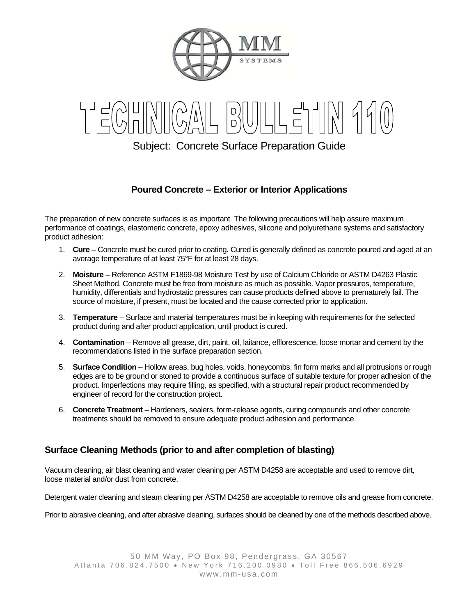

Subject: Concrete Surface Preparation Guide

# **Poured Concrete – Exterior or Interior Applications**

The preparation of new concrete surfaces is as important. The following precautions will help assure maximum performance of coatings, elastomeric concrete, epoxy adhesives, silicone and polyurethane systems and satisfactory product adhesion:

- 1. **Cure** Concrete must be cured prior to coating. Cured is generally defined as concrete poured and aged at an average temperature of at least 75°F for at least 28 days.
- 2. **Moisture** Reference ASTM F1869-98 Moisture Test by use of Calcium Chloride or ASTM D4263 Plastic Sheet Method. Concrete must be free from moisture as much as possible. Vapor pressures, temperature, humidity, differentials and hydrostatic pressures can cause products defined above to prematurely fail. The source of moisture, if present, must be located and the cause corrected prior to application.
- 3. **Temperature** Surface and material temperatures must be in keeping with requirements for the selected product during and after product application, until product is cured.
- 4. **Contamination** Remove all grease, dirt, paint, oil, laitance, efflorescence, loose mortar and cement by the recommendations listed in the surface preparation section.
- 5. **Surface Condition** Hollow areas, bug holes, voids, honeycombs, fin form marks and all protrusions or rough edges are to be ground or stoned to provide a continuous surface of suitable texture for proper adhesion of the product. Imperfections may require filling, as specified, with a structural repair product recommended by engineer of record for the construction project.
- 6. **Concrete Treatment** Hardeners, sealers, form-release agents, curing compounds and other concrete treatments should be removed to ensure adequate product adhesion and performance.

## **Surface Cleaning Methods (prior to and after completion of blasting)**

Vacuum cleaning, air blast cleaning and water cleaning per ASTM D4258 are acceptable and used to remove dirt, loose material and/or dust from concrete.

Detergent water cleaning and steam cleaning per ASTM D4258 are acceptable to remove oils and grease from concrete.

Prior to abrasive cleaning, and after abrasive cleaning, surfaces should be cleaned by one of the methods described above.